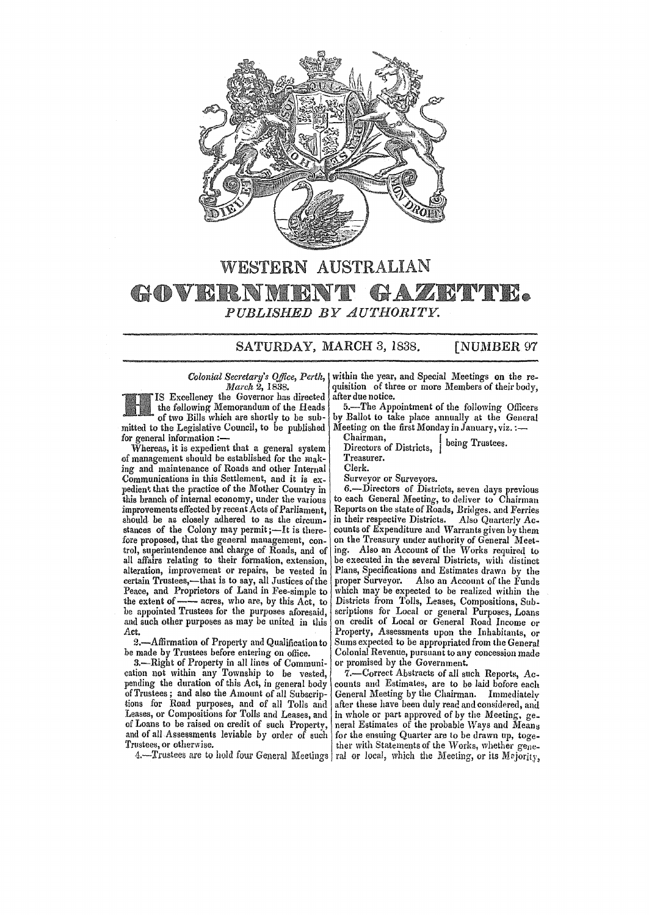

## WESTERN AUSTRALIAN TE. ZI GADVRRNM HE *PUBLISHED BY AUTHORITY.*

SATURDAY, MARCH 3, 1838. [NUMBER 97

*March* 2, 1838. Excellency the Governor has directed the following Memorandum of the Heads of two Bills which are shortly to be sub-

mitted to the Legislative Council, to be published for general information :-

Whereas, it is expedient that a general system of management should be established for the making and maintenance of Roads and other Internal Communications in this Settlement, and it is expedient that the practice of the Mother Country in this branch of internal economy, under the various improvements effected by recent Acts of Parliament, should be as closely adhered to as the circum-<br>stances of the Colony may permit ;—It is therefore proposed, that the general management, control, superintendence and charge of Roads, and of all affairs relating to their formation, extension, alteration, improvement or repairs, be vested in certain Trustees,-that is to say, all Justices of the Peace, and Proprietors of Land in Fee-simple to extrain Trustees,—since is to say, an business of the<br>Peace, and Proprietors of Land in Fee-simple to<br>the extent of —— acres, who are, by this Act, to<br>be appointed Trustees for the purposes aforesaid, and such other purposes as may be united in this Act.

2.-Affirmation of Property and Qualification to be made by Trustees before entering on office.

3.-Right of Property in all lines of Communication not within any Township to be vested, pending the duration of this Act, in general body of Trustees ; and also the Amount of all Subscriptions for Road purposes, and of all Tolls and Leases, or Compositions for Tolls and Leases, and of Loans to be raised on credit of such Property, and of all Assessments leviable by order of such Trustees, or otherwise.

4.-Trustees are to hold four General Meetings

*Colonial Secretary's Office, Perth,*  within the year, and Special Meetings on the requisition of three or more Members of their body, after due notice.

5.-The Appointment of the following Officers by Ballot to take place annually at the General Meeting on the first Monday in January, viz. :-

Chairman, Directors of Districts, I being Trustees.

Treasurer.

Clerk.

Surveyor or Surveyors.

6.-Directors of Districts, seven days previous to each General Meeting, to deliver to Chairman Reports on the state of Roads, Bridges. and Ferries in their respective Districts. Also Quarterly Ac. counts of Expenditure and Warrants given by them on the Treasury under authority of General Meeting. Also an Account of the Works required to be executed in the several Districts, with distinct Plans, Specifications and Estimates drawn by the proper Surveyor. Also an Account of the Funds which may be expected to be realized within the Districts from Tolls, Leases, Compositions, Subscriptions for Local or general Purposes, Loans on credit of Local or General Road Income or Property. Assessments upon the Inhabitants, or Sums expected to be appropriated from the General Colonial Revenue, pursuant to any concession made or promised hy the Government.

7.-Correct Abstracts of all such Reports, Accounts and Estimates, are to be laid bofore each General Meeting by the Chairman. Immediatelv after these have been duly read and considered, and in whole or part approved of by the Meeting. ge\_ neral Estimates of the probable Ways and Means for the ensuing Quarter are to be drawn up, together with Statements of the Works, whether general or local, which the Meeting, or its Mejority.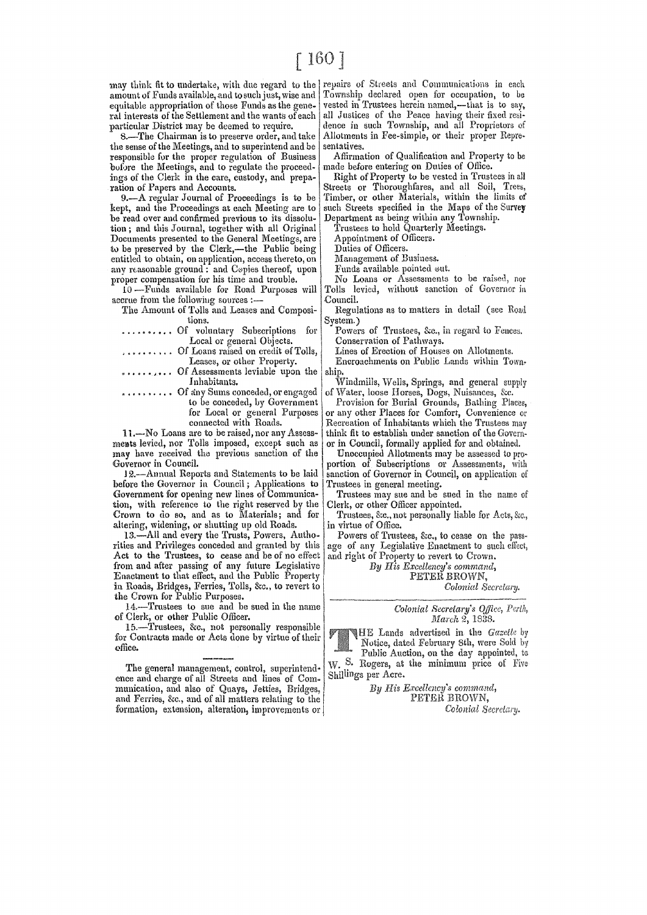amount of Funds available, and to such just, wise and Township declared open for occupation, to be equitable appropriation of those Funds as the gene- vested in Trustees herein named,—that is to say, equitable appropriation of those Funds as the gene- vested in Trustees herein named,—that is to say,<br>ral interests of the Settlement and the wants of each all Justices of the Peace having their fixed resiral interests of the Settlement and the wants of each all Justices of the Peace having their fixed resi-<br>particular District may be deemed to require.

8.—The Chairman is to preserve order, and take Allotment<br>e sense of the Meetings, and to superintend and be sentatives. the sense of the Meetings, and to superintend and be sentatives.<br>
responsible for the proper regulation of Business Affirmation of Qualification and Property to be responsible for the proper regulation of Business Affirmation of Qualification and Proper<br>bofore the Meetings, and to regulate the proceed- made before entering on Duties of Office. bufore the Meetings, and to regulate the proceed- made before entering on Duties of Office.<br>
ings of the Clerk in the care, custody, and prepa- Right of Property to be vested in Trustees in all ings of the Clerk in the care, custody, and prepa-<br>ration of Papers and Accounts.

kept, and the Proceedings at each Meeting are to such Streets specified in the Maps of the be-<br>be read over and confirmed previous to its dissolu- Department as being within any Township. be read over and confirmed previous to its dissolu- Department as being within any Township.<br>
tion; and this Journal, together with all Original Trustees to hold Quarterly Meetings. tion; and this Journal, together with all Original Trustees to hold Quarter<br>Documents presented to the General Meetings, are Appointment of Officers. Documents presented to the General Meetings, are <br>
to be preserved by the Clerk,—the Public being Duties of Officers. to be preserved by the Clerk,—the Public being Duties of Officers.<br>entitled to obtain, on application, access thereto, on Management of Business. entitled to obtain, on application, access thereto, on Management of Business.<br>any reasonable ground: and Cepies thereof, upon Funds available pointed out. any reasonable ground: and Copies thereof, upon Funds available pointed out. proper compensation for his time and trouble. No Loans or Assessments to be raised, nor

accrue from the following sources :-- <br>The Amount of Tolls and Leases and Composi- Regulations as to matters in detail (see Road

The Amount of Tolls and Leases and Compositions.

|            |  |  | Of voluntary Subscriptions for      |  |
|------------|--|--|-------------------------------------|--|
|            |  |  | Local or general Objects.           |  |
| . <i>.</i> |  |  | Of Loans raised on credit of Tolls. |  |

...... Of Assessments leviable upon the Inhabitants.

any Sums conceded, or engaged | of Water, loose Horses, Dogs, Nuisances, &c.<br>to be conceded, by Government | Provision for Burial Grounds, Bathing Pla

11.—No Loans are to be raised, nor any Assess- think fit to establish under sanction of the Govern-<br>ments levied, nor Tolls imposed, except such as or in Council, formally applied for and obtained. may have received the previous sanction of the Governor in Council. Governor in Council.  $\vert$  portion of Subscriptions or Assessments,

12.—Annual Reports and Statements to be laid | sanction of Governor in Council, on application before the Governor in Council; Applications to Trustees in general meeting.<br>Government for opening new lines of Communica-<br>Trustees may sue and be sued in the name of Government for opening new lines of Communica- Trustees may sue and be sued tion, with reference to the right reserved by the Clerk, or other Officer appointed. tion, with reference to the right reserved by the Crown to do so, and as to Materials; and for Trustees, 8cc., not personally liable for Acts, 8cc., altering, widening, or shutting up old Roads.

altering, widening, or shutting up old Roads. in virtue of Office.<br>13.—All and every the Trusts, Powers, Autho- Powers of Trustees, &c., to cease on the pass-13.—All and every the Trusts, Powers, Autho- Powers of Trustees, &c., to cease on the pass-<br>ies and Privileges conceded and granted by this age of any Legislative Enactment to such effect, rities and Privileges conceded and granted by this age of any Legislative Enactment to such that to the Trustees, to cease and be of no effect and right of Property to revert to Crown. Act to the Trustees, to cease and be of no effect from and after passing of any future Legislative *By His Excellency's command*, Enactment to that effect, and the Public Property PETER BROWN, Enactment to that effect, and the Public Property PETER BROWN,<br>
in Roads, Bridges, Ferries, Tolls, &c., to revert to Colonial Secretary. in Roads, Bridges, Ferries, Tolls, &c., to revert to the Crown for Public Purposes.

14.-Trustees to sue and be sued in the name of Clerk, or other Public Officer.

15.-Trustees, &c., not personally responsible for Contracts made or Acts done by virtue of their ~ffice.

The general management, control, superintendence and charge of all Streets and lines of Communication, and also of Quays, Jetties, Bridges, and Ferries, &c., and of all matters relating to the formation, extension, alteration, improvements or

may think fit to undertake, with due regard to the | repairs of Streets and Communications in each<br>amount of Funds available, and to such just, wise and | Township declared open for occupation, to be particular District may be deemed to require. dence in such Township, and all Proprietors of S.—The Chairman is to preserve order, and take Allotments in Fee-simple, or their proper Repre-

tion of Papers and Accounts.  $\begin{array}{c|c|c|c|c|c|c} \text{Streets} & \text{Streets} & \text{Thoroughfares, and all } & \text{Soil}, & \text{Trees,} \\ \hline \text{9.}-\text{A regular Journal of Proceedings is to be} & \text{Timber, or other Materials, within the limits of } & \text{Bessel's method.} \end{array}$ Timber, or other Materials, within the limits of such Streets specified in the Maps of the Survey

 $10$ —Funds available for Road Purposes will Tolls levied, without sanction of Governor in<br>erne from the following sources :—

System.)

Powers of Trustees, &c., in regard to Fences. Conservation of Pathways.

Loans raised on credit of Tolls, Lines of Erection of Houses on Allotments.<br>Leases, or other Property. Fineroachments on Public Lands within To Encroachments on Public Lands within Town-

...,... Of Assessments leviable upon the snip.<br>Inhabitants. Windmills, Wells, Springs, and general supply<br>....... Of any Sums conceded, or engaged of Water, loose Horses, Dogs, Nuisances, &c.

to be conceded, by Government Provision for Burial Grounds, Bathing Places, for Local or general Purposes or any other Places for Comfort, Convenience or for Local or general Purposes or any other Places for Comfort, Convenience or connected with Roads. connected with Roads.<br>
11.—No Loans are to be raised, nor any Assess-<br>
| think fit to establish under sanction of the Govern-

or in Council, formally applied for and obtained.<br>Unoccupied Allotments may be assessed to pro-

*Colonial Secretary's Office, Perth, March 2*, 1838.

HE Lands advertised in the *Gazette* by Notice, dated February 8th, were Sold by Public Auction, on the day appointed, to W. S. Rogers, at the minimum price of Five Shillings per Acre.

> H~'s *Krcellency's cormn'ana,*  **PETER BROWN,**<br>Colonial Secretary.